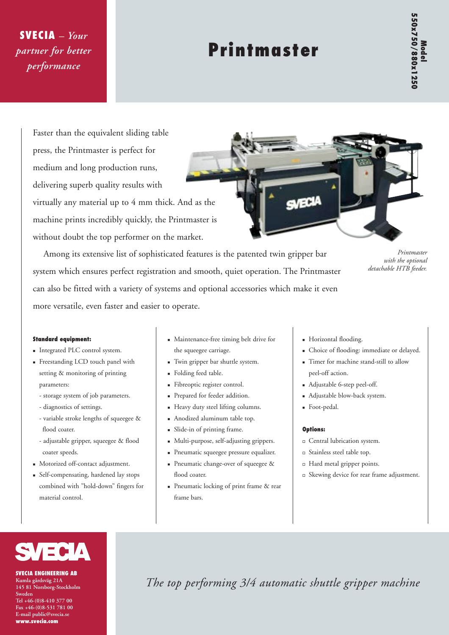# **SVECIA** – *Your partner for better performance*

# **Printmaster**

Faster than the equivalent sliding table press, the Printmaster is perfect for medium and long production runs, delivering superb quality results with virtually any material up to 4 mm thick. And as the machine prints incredibly quickly, the Printmaster is without doubt the top performer on the market.



Among its extensive list of sophisticated features is the patented twin gripper bar system which ensures perfect registration and smooth, quiet operation. The Printmaster can also be fitted with a variety of systems and optional accessories which make it even more versatile, even faster and easier to operate.

*Printmaster with the optional detachable HTB feeder.*

#### **Standard equipment:**

- <sup>n</sup> Integrated PLC control system.
- <sup>n</sup> Freestanding LCD touch panel with setting & monitoring of printing parameters:
	- storage system of job parameters.
	- diagnostics of settings.
	- variable stroke lengths of squeegee & flood coater.
	- adjustable gripper, squeegee & flood coater speeds.
- <sup>n</sup> Motorized off-contact adjustment.
- <sup>n</sup> Self-compensating, hardened lay stops combined with "hold-down" fingers for material control.
- <sup>n</sup> Maintenance-free timing belt drive for the squeegee carriage.
- <sup>n</sup> Twin gripper bar shuttle system.
- <sup>n</sup> Folding feed table.
- <sup>n</sup> Fibreoptic register control.
- <sup>n</sup> Prepared for feeder addition.
- <sup>n</sup> Heavy duty steel lifting columns.
- <sup>n</sup> Anodized aluminum table top.
- <sup>n</sup> Slide-in of printing frame.
- $\blacksquare$  Multi-purpose, self-adjusting grippers.
- <sup>n</sup> Pneumatic squeegee pressure equalizer.
- <sup>n</sup> Pneumatic change-over of squeegee & flood coater.
- <sup>n</sup> Pneumatic locking of print frame & rear frame bars.
- $\blacksquare$  Horizontal flooding.
- <sup>n</sup> Choice of flooding: immediate or delayed.
- <sup>n</sup> Timer for machine stand-still to allow peel-off action.
- <sup>n</sup> Adjustable 6-step peel-off.
- <sup>n</sup> Adjustable blow-back system.
- <sup>n</sup> Foot-pedal.

### **Options:**

- <sup>o</sup> Central lubrication system.
- <sup>o</sup> Stainless steel table top.
- <sup>o</sup> Hard metal gripper points.
- <sup>o</sup> Skewing device for rear frame adjustment.



**SVECIA ENGINEERING AB Kumla gårdsväg 21A 145 81 Norsborg-Stockholm Sweden Tel +46-(0)8-410 377 00 Fax +46-(0)8-531 781 00 E-mail public@svecia.se www.svecia.com**

*The top performing 3/4 automatic shuttle gripper machine*